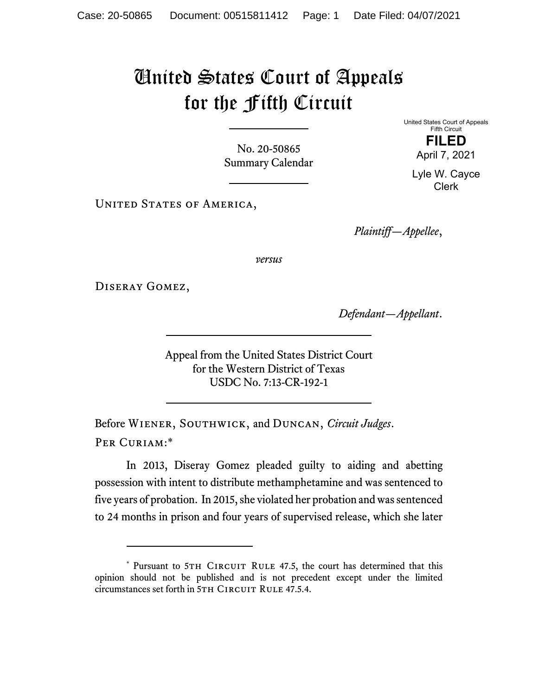## United States Court of Appeals for the Fifth Circuit

No. 20-50865 Summary Calendar United States Court of Appeals Fifth Circuit **FILED**  April 7, 2021

Lyle W. Cayce Clerk

UNITED STATES OF AMERICA,

*Plaintiff—Appellee*,

*versus*

Diseray Gomez,

*Defendant—Appellant*.

Appeal from the United States District Court for the Western District of Texas USDC No. 7:13-CR-192-1

Before Wiener, Southwick, and Duncan, *Circuit Judges*. Per Curiam:\*

In 2013, Diseray Gomez pleaded guilty to aiding and abetting possession with intent to distribute methamphetamine and was sentenced to five years of probation. In 2015, she violated her probation and was sentenced to 24 months in prison and four years of supervised release, which she later

<sup>\*</sup> Pursuant to 5TH CIRCUIT RULE 47.5, the court has determined that this opinion should not be published and is not precedent except under the limited circumstances set forth in 5TH CIRCUIT RULE 47.5.4.